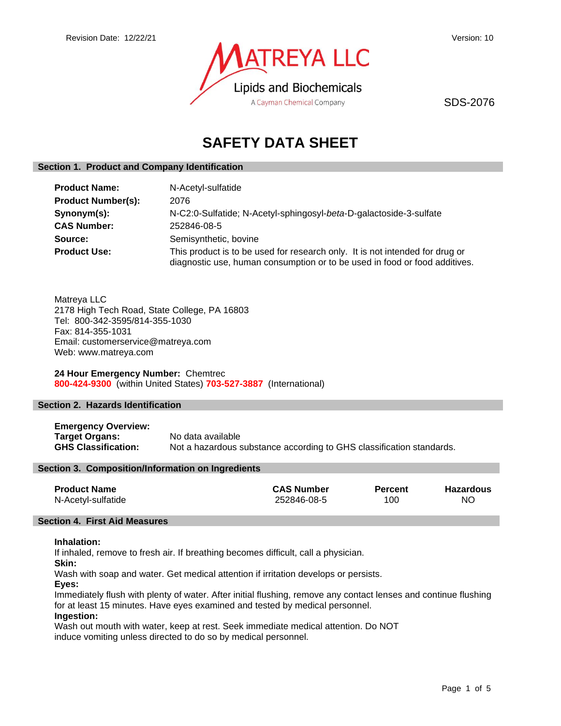

SDS-2076

# **SAFETY DATA SHEET**

# **Section 1. Product and Company Identification**

| <b>Product Name:</b>      | N-Acetyl-sulfatide                                                                                                                                         |
|---------------------------|------------------------------------------------------------------------------------------------------------------------------------------------------------|
| <b>Product Number(s):</b> | 2076                                                                                                                                                       |
| Synonym(s):               | N-C2:0-Sulfatide; N-Acetyl-sphingosyl-beta-D-galactoside-3-sulfate                                                                                         |
| <b>CAS Number:</b>        | 252846-08-5                                                                                                                                                |
| Source:                   | Semisynthetic, bovine                                                                                                                                      |
| <b>Product Use:</b>       | This product is to be used for research only. It is not intended for drug or<br>diagnostic use, human consumption or to be used in food or food additives. |

Matreya LLC 2178 High Tech Road, State College, PA 16803 Tel: 800-342-3595/814-355-1030 Fax: 814-355-1031 Email: customerservice@matreya.com Web: www.matreya.com

**24 Hour Emergency Number:** Chemtrec **800-424-9300** (within United States) **703-527-3887** (International)

# **Section 2. Hazards Identification**

**Emergency Overview: Target Organs:** No data available **GHS Classification:** Not a hazardous substance according to GHS classification standards.

# **Section 3. Composition/Information on Ingredients**

| <b>Product Name</b> | <b>CAS Number</b> | <b>Percent</b> | Hazardous |
|---------------------|-------------------|----------------|-----------|
| N-Acetyl-sulfatide  | 252846-08-5       | 100            | ΝO        |

#### **Section 4. First Aid Measures**

#### **Inhalation:**

If inhaled, remove to fresh air. If breathing becomes difficult, call a physician.

**Skin:**

Wash with soap and water. Get medical attention if irritation develops or persists.

#### **Eyes:**

Immediately flush with plenty of water. After initial flushing, remove any contact lenses and continue flushing for at least 15 minutes. Have eyes examined and tested by medical personnel.

# **Ingestion:**

Wash out mouth with water, keep at rest. Seek immediate medical attention. Do NOT induce vomiting unless directed to do so by medical personnel.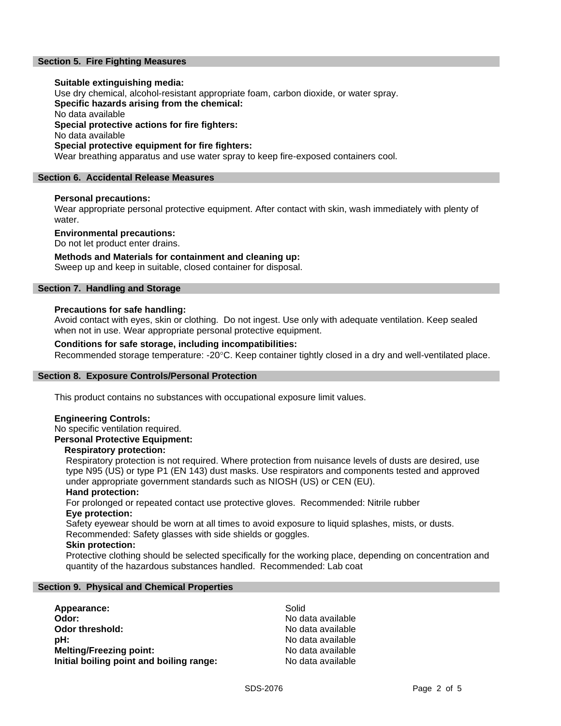# **Section 5. Fire Fighting Measures**

#### **Suitable extinguishing media:**

Use dry chemical, alcohol-resistant appropriate foam, carbon dioxide, or water spray.

**Specific hazards arising from the chemical:**

No data available

**Special protective actions for fire fighters:**

No data available

### **Special protective equipment for fire fighters:**

Wear breathing apparatus and use water spray to keep fire-exposed containers cool.

# **Section 6. Accidental Release Measures**

# **Personal precautions:**

Wear appropriate personal protective equipment. After contact with skin, wash immediately with plenty of water.

# **Environmental precautions:**

Do not let product enter drains.

# **Methods and Materials for containment and cleaning up:**

Sweep up and keep in suitable, closed container for disposal.

# **Section 7. Handling and Storage**

# **Precautions for safe handling:**

Avoid contact with eyes, skin or clothing. Do not ingest. Use only with adequate ventilation. Keep sealed when not in use. Wear appropriate personal protective equipment.

# **Conditions for safe storage, including incompatibilities:**

Recommended storage temperature: -20°C. Keep container tightly closed in a dry and well-ventilated place.

# **Section 8. Exposure Controls/Personal Protection**

This product contains no substances with occupational exposure limit values.

# **Engineering Controls:**

No specific ventilation required.

**Personal Protective Equipment:**

#### **Respiratory protection:**

Respiratory protection is not required. Where protection from nuisance levels of dusts are desired, use type N95 (US) or type P1 (EN 143) dust masks. Use respirators and components tested and approved under appropriate government standards such as NIOSH (US) or CEN (EU).

#### **Hand protection:**

For prolonged or repeated contact use protective gloves. Recommended: Nitrile rubber **Eye protection:**

Safety eyewear should be worn at all times to avoid exposure to liquid splashes, mists, or dusts. Recommended: Safety glasses with side shields or goggles.

#### **Skin protection:**

Protective clothing should be selected specifically for the working place, depending on concentration and quantity of the hazardous substances handled. Recommended: Lab coat

# **Section 9. Physical and Chemical Properties**

| Appearance:                              | Solid             |
|------------------------------------------|-------------------|
| Odor:                                    | No data available |
| Odor threshold:                          | No data available |
| pH:                                      | No data available |
| <b>Melting/Freezing point:</b>           | No data available |
| Initial boiling point and boiling range: | No data available |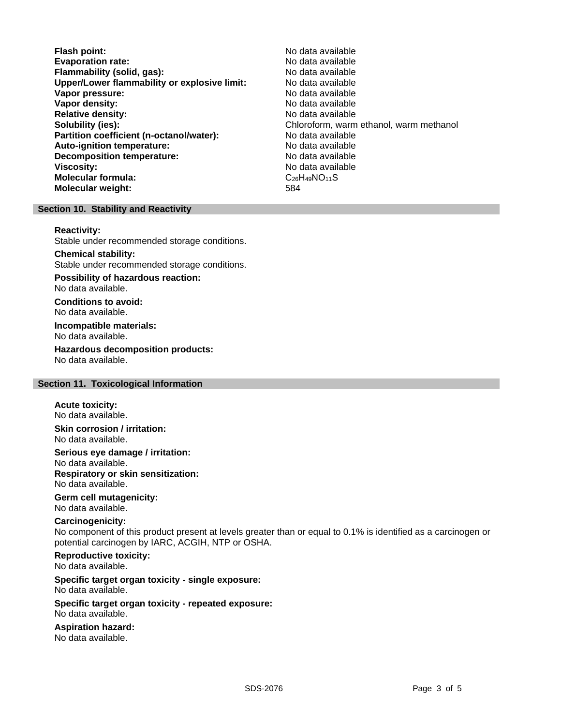- **Flash point:** No data available **Evaporation rate:**<br> **Exaporation rate:** No data available<br> **Elammability (solid. gas):** No data available **Flammability (solid, gas): Upper/Lower flammability or explosive limit:** No data available **Vapor pressure:** No data available **Vapor density:** No data available in the set of the set of the No data available **Relative density:** No data available **Solubility (ies):** Chloroform, warm ethanol, warm methanol **Partition coefficient (n-octanol/water):** No data available **Auto-ignition temperature:** No data available<br> **Decomposition temperature:** No data available **Decomposition temperature: Viscosity:** No data available in the set of the set of the set of the No data available **Molecular formula:** C<sub>26</sub>H<sub>49</sub>NO<sub>11</sub>S **Molecular weight:** 584
	-

# **Section 10. Stability and Reactivity**

#### **Reactivity:**

Stable under recommended storage conditions.

# **Chemical stability:**

Stable under recommended storage conditions.

**Possibility of hazardous reaction:** No data available.

**Conditions to avoid:** No data available.

**Incompatible materials:** No data available.

**Hazardous decomposition products:** No data available.

# **Section 11. Toxicological Information**

# **Acute toxicity:**

No data available.

**Skin corrosion / irritation:** No data available.

**Serious eye damage / irritation:** No data available.

**Respiratory or skin sensitization:** No data available.

# **Germ cell mutagenicity:**

No data available.

# **Carcinogenicity:**

No component of this product present at levels greater than or equal to 0.1% is identified as a carcinogen or potential carcinogen by IARC, ACGIH, NTP or OSHA.

# **Reproductive toxicity:** No data available.

**Specific target organ toxicity - single exposure:** No data available.

# **Specific target organ toxicity - repeated exposure:** No data available.

**Aspiration hazard:**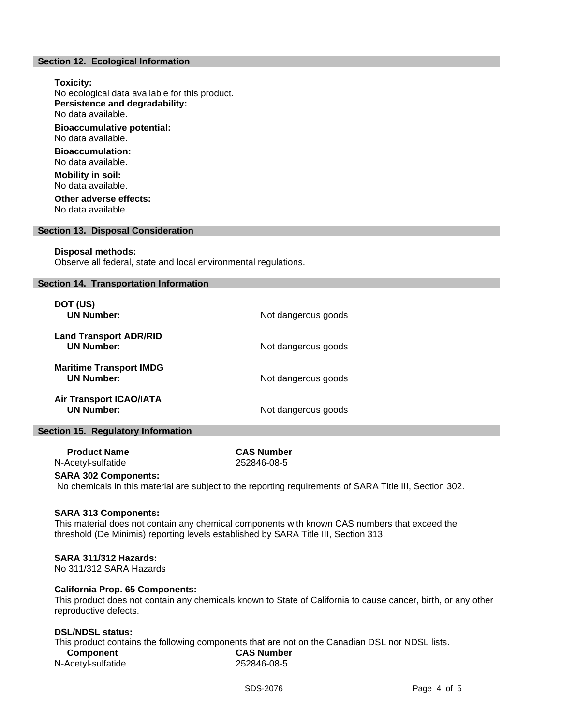# **Section 12. Ecological Information**

**Toxicity:** No ecological data available for this product. **Persistence and degradability:** No data available. **Bioaccumulative potential:** No data available. **Bioaccumulation:** No data available. **Mobility in soil:** No data available.

**Other adverse effects:** No data available.

#### **Section 13. Disposal Consideration**

#### **Disposal methods:**

Observe all federal, state and local environmental regulations.

#### **Section 14. Transportation Information**

| DOT (US)<br><b>UN Number:</b>                       | Not dangerous goods |
|-----------------------------------------------------|---------------------|
| <b>Land Transport ADR/RID</b><br><b>UN Number:</b>  | Not dangerous goods |
| <b>Maritime Transport IMDG</b><br><b>UN Number:</b> | Not dangerous goods |
| <b>Air Transport ICAO/IATA</b><br><b>UN Number:</b> | Not dangerous goods |

### **Section 15. Regulatory Information**

 **Product Name CAS Number** N-Acetyl-sulfatide 252846-08-5

# **SARA 302 Components:**

No chemicals in this material are subject to the reporting requirements of SARA Title III, Section 302.

#### **SARA 313 Components:**

This material does not contain any chemical components with known CAS numbers that exceed the threshold (De Minimis) reporting levels established by SARA Title III, Section 313.

#### **SARA 311/312 Hazards:**

No 311/312 SARA Hazards

# **California Prop. 65 Components:**

This product does not contain any chemicals known to State of California to cause cancer, birth, or any other reproductive defects.

# **DSL/NDSL status:**

This product contains the following components that are not on the Canadian DSL nor NDSL lists.

| Component          | <b>CAS Number</b> |
|--------------------|-------------------|
| N-Acetyl-sulfatide | 252846-08-5       |